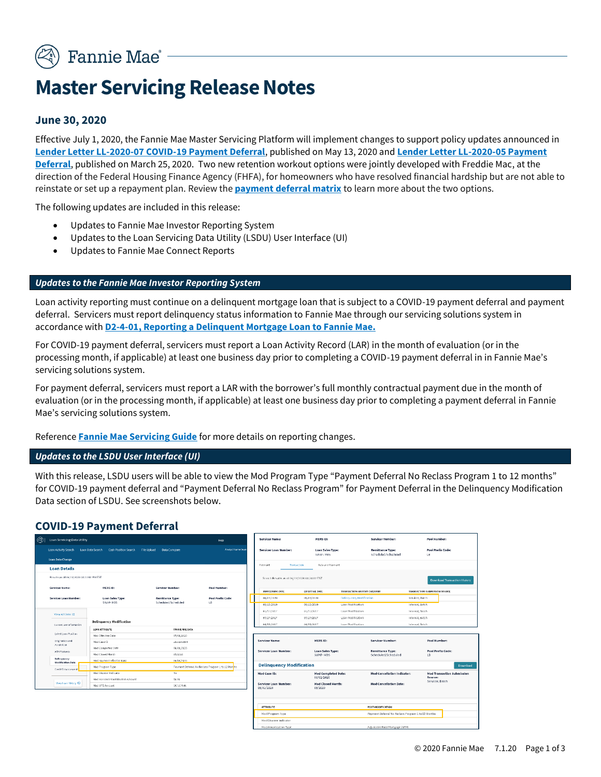

# **Master Servicing Release Notes**

## **June 30, 2020**

Effective July 1, 2020, the Fannie Mae Master Servicing Platform will implement changes to support policy updates announced in **[Lender Letter LL-2020-07 COVID-19 Payment Deferral](https://singlefamily.fanniemae.com/media/22916/display)**, published on May 13, 2020 and **[Lender Letter LL-2020-05 Payment](https://singlefamily.fanniemae.com/media/22341/display)  [Deferral](https://singlefamily.fanniemae.com/media/22341/display)**, published on March 25, 2020. Two new retention workout options were jointly developed with Freddie Mac, at the direction of the Federal Housing Finance Agency (FHFA), for homeowners who have resolved financial hardship but are not able to reinstate or set up a repayment plan. Review the **[payment deferral matrix](https://singlefamily.fanniemae.com/media/22936/display)** to learn more about the two options.

The following updates are included in this release:

- Updates to Fannie Mae Investor Reporting System
- Updates to the Loan Servicing Data Utility (LSDU) User Interface (UI)
- Updates to Fannie Mae Connect Reports

#### *Updates to the Fannie Mae Investor Reporting System*

Loan activity reporting must continue on a delinquent mortgage loan that is subject to a COVID-19 payment deferral and payment deferral. Servicers must report delinquency status information to Fannie Mae through our servicing solutions system in accordance with **[D2-4-01, Reporting a Delinquent Mortgage Loan to Fannie Mae.](https://servicing-guide.fanniemae.com/THE-SERVICING-GUIDE/Part-D-Providing-Solutions-to-a-Borrower/Subpart-D2-Assisting-a-Borrower-Who-is-Facing-Default-or/Chapter-D2-4-Reporting-Delinquent-Mortgage-Loans-and/D2-4-01-Reporting-a-Delinquent-Mortgage-Loan-to-Fannie-Mae/1042591241/D2-4-01-Reporting-a-Delinquent-Mortgage-Loan-to-Fannie-Mae-11-12-2014.htm)**

For COVID-19 payment deferral, servicers must report a Loan Activity Record (LAR) in the month of evaluation (or in the processing month, if applicable) at least one business day prior to completing a COVID-19 payment deferral in in Fannie Mae's servicing solutions system.

For payment deferral, servicers must report a LAR with the borrower's full monthly contractual payment due in the month of evaluation (or in the processing month, if applicable) at least one business day prior to completing a payment deferral in Fannie Mae's servicing solutions system.

Reference **[Fannie Mae Servicing Guide](https://servicing-guide.fanniemae.com/)** for more details on reporting changes.

#### *Updates to the LSDU User Interface (UI)*

With this release, LSDU users will be able to view the Mod Program Type "Payment Deferral No Reclass Program 1 to 12 months" for COVID-19 payment deferral and "Payment Deferral No Reclass Program" for Payment Deferral in the Delinquency Modification Data section of LSDU. See screenshots below.

#### **COVID-19 Payment Deferral**

| $\circledcirc$ | Loan Servicing Data Utility              |                                  |                                                | Help:                                              |                                       | <b>Servicer Name:</b>           |                          | MERS ID:                            |                                                          | <b>Servicer Number:</b>                        |                 | Pool Number:                                 |
|----------------|------------------------------------------|----------------------------------|------------------------------------------------|----------------------------------------------------|---------------------------------------|---------------------------------|--------------------------|-------------------------------------|----------------------------------------------------------|------------------------------------------------|-----------------|----------------------------------------------|
|                | Loan Activity Search Loan Data Search    | <b>Cash Position Search</b>      | File Upload Data Compare                       | Analyst Name Sean                                  |                                       | Servicer Loan Number:           |                          | <b>Loan Sales Type:</b><br>SWAP-MBS |                                                          | <b>Remittance Type:</b><br>Scheduled/Scheduled |                 | Pool Prefix Code:<br>LB.                     |
|                | Loan Data Change                         |                                  |                                                |                                                    |                                       |                                 |                          |                                     |                                                          |                                                |                 |                                              |
|                | <b>Loan Details</b>                      |                                  |                                                |                                                    | Payment                               | Transaction                     |                          | Rate and Payment                    |                                                          |                                                |                 |                                              |
|                | Results as of 06/22/2020 04:22:02 PM EST |                                  |                                                | Search Results as of 06/22/2020 04:24:02 FST       |                                       |                                 |                          |                                     | Download Transaction History                             |                                                |                 |                                              |
|                | Servicer Name:                           | MERS ID:                         | Servicer Number:                               | Pool Number:                                       |                                       | PROCESSING DATE                 |                          |                                     |                                                          |                                                |                 |                                              |
|                |                                          |                                  |                                                |                                                    |                                       | 06/01/2020                      | EFFECTIVE DATE           |                                     | TRANSACTION HISTORY CATEGORY<br>Delinquency Modification |                                                | Servicer, Batch | TRANSACTION SUBMISSION SOURCE                |
|                | Servicer Loan Number:                    | Loan Sales Type:<br>SWAP-MBS     | <b>Remittance Type:</b><br>Scheduled/Scheduled | Pool Prefix Code:<br>LB.                           |                                       | 09/13/2019                      | 05/01/2020<br>09/13/2019 |                                     | Loan Modification                                        |                                                | Internal, Batch |                                              |
|                |                                          |                                  |                                                |                                                    |                                       | 07/17/2017                      | 07/17/2017               |                                     | Loan Modification                                        |                                                | Internal, Batch |                                              |
|                | View All Data III                        |                                  |                                                |                                                    |                                       | 07/17/2017                      | 07/17/2017               |                                     | Loan Modification                                        |                                                | Internal, Batch |                                              |
|                | Current LAR Information                  | <b>Delinquency Modification</b>  |                                                |                                                    |                                       | 04/11/2017                      | 04/11/2017               |                                     | Loan Modification                                        |                                                | Internal, Baich |                                              |
|                |                                          | LOAN ATTRIBUTE                   | <b>FANNIE MAE DATA</b>                         |                                                    |                                       |                                 |                          |                                     |                                                          |                                                |                 |                                              |
|                | Latest Loan Position                     | Mod Effective Date               | 05/01/2020                                     |                                                    |                                       |                                 |                          |                                     |                                                          |                                                |                 |                                              |
|                | Origination and<br>Acculsition           | Mod Case ID                      | 5022393034                                     |                                                    |                                       | Servicer Name:                  |                          | <b>MERS ID:</b>                     |                                                          | Servicer Number:                               |                 | Pool Number:                                 |
|                | ARM Footunes                             | Mod Completed Date               | 06/01/2020                                     |                                                    |                                       | Servicer Loan Number:           |                          | Loan Sales Type:                    |                                                          | <b>Remittance Type:</b>                        |                 | <b>Pool Prefix Code:</b>                     |
|                |                                          | Mod Closed Month                 | 05/2020                                        |                                                    |                                       |                                 |                          | SWAP-MBS                            |                                                          | Scheduled/Scheduled                            |                 | LB.                                          |
|                | Delinquency<br><b>Modification Data</b>  | Mod Payment Effective Date       | 06/01/2020                                     |                                                    |                                       |                                 |                          |                                     |                                                          |                                                |                 |                                              |
|                | Credit Enhancement                       | Mod Program Type                 |                                                | Payment Deferral No Reclass Program 1 to 12 Months |                                       | <b>Delinquency Modification</b> |                          |                                     |                                                          |                                                |                 | Download                                     |
|                |                                          | Mod Disaster Indicator           | No                                             |                                                    | Mod Case ID:                          |                                 |                          | <b>Mod Completed Date:</b>          |                                                          | <b>Mod Cancellation Indicator:</b>             |                 | <b>Mod Transaction Submission</b><br>Source: |
|                | View Lean History @                      | Mod Borrower Contribution Amount | \$0.00                                         |                                                    |                                       |                                 |                          | 06/01/2020                          |                                                          |                                                |                 | Servicer, Batch                              |
|                |                                          | Mod UPB Amount                   | \$87,674.06                                    |                                                    | 05/01/2020                            | Servicer Loan Number:           |                          | <b>Mod Closed Month:</b><br>05/2020 |                                                          | <b>Mod Cancellation Date:</b>                  |                 |                                              |
|                |                                          |                                  |                                                |                                                    |                                       |                                 |                          |                                     |                                                          |                                                |                 |                                              |
|                |                                          |                                  |                                                |                                                    |                                       |                                 |                          |                                     |                                                          |                                                |                 |                                              |
|                |                                          |                                  |                                                |                                                    | <b>ATTRIBUTE</b><br>POST-MODIFICATION |                                 |                          |                                     |                                                          |                                                |                 |                                              |
|                |                                          |                                  |                                                |                                                    | Mod Program Type                      |                                 |                          |                                     | Payment Deferral No Reclass Program 1 to 12 Months       |                                                |                 |                                              |
|                |                                          |                                  |                                                |                                                    |                                       | Mod Disaster Indicator          |                          |                                     |                                                          |                                                |                 |                                              |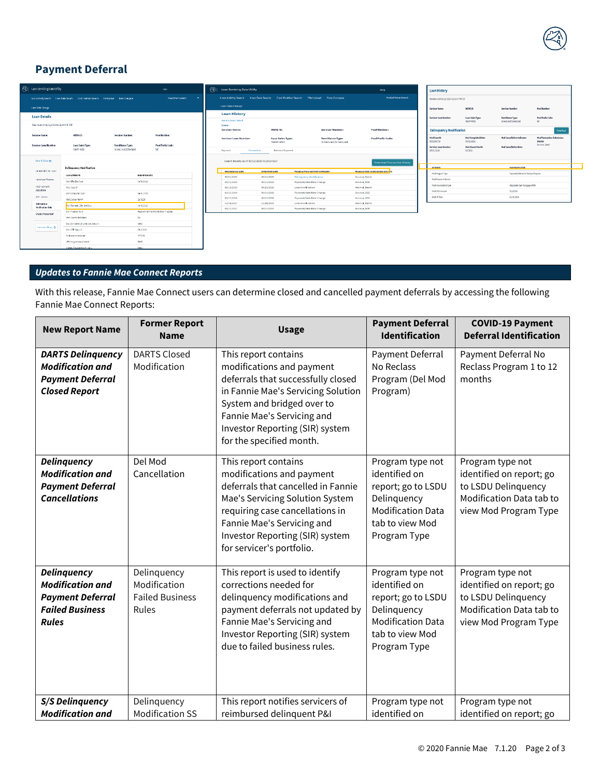

# **Payment Deferral**



| Loan Servicing Data Utility                          |                                                 | Help                                           |                                     |  |  |  |  |
|------------------------------------------------------|-------------------------------------------------|------------------------------------------------|-------------------------------------|--|--|--|--|
| <b>Loan Activity Search</b>                          | Loan Data Search<br><b>Cash Position Search</b> | Data Compare<br><b>File Upload</b>             | Analyst Name Search                 |  |  |  |  |
| <b>Loan Data Change</b>                              |                                                 |                                                |                                     |  |  |  |  |
| <b>Loan History</b>                                  |                                                 |                                                |                                     |  |  |  |  |
| <b>Back to Lean Detail</b><br>Loan<br>Servicer Name: | <b>MERS ID:</b>                                 | <b>Servicer Number:</b>                        | Pool Number:                        |  |  |  |  |
| Servicer Loan Number:                                | <b>Loan Sales Type:</b><br>SWAD, MRS            | <b>Remittance Type:</b><br>Scheduled/Scheduled | <b>Pool Prefix Code:</b>            |  |  |  |  |
| Payment                                              | Rate and Payment<br>Transaction                 |                                                |                                     |  |  |  |  |
| Search Results as of 06/22/2020 01:25:14 EST         |                                                 |                                                | <b>Download Transaction History</b> |  |  |  |  |
| <b>PROFESSING DATE</b>                               | <b>EFFECTIVE DATE</b>                           | TRANSACTION HISTORY CATEGORY                   | TRANSACTION SUBMISSION SOURCE       |  |  |  |  |
| 06/01/2020                                           | 05/01/2020                                      | <b>Delinquency Modification</b>                | Servicer, Batch                     |  |  |  |  |
| 03/21/2020                                           | 03/01/2020                                      | Payment/Note Rate Change                       | Servicer, 828                       |  |  |  |  |
| 09/13/2019                                           | Loan Modification<br>09/13/2019                 |                                                | Internal, Batch                     |  |  |  |  |
| 03/21/2019                                           | 03/01/2019                                      | Payment/Note Rate Change                       | Servicer, R2R                       |  |  |  |  |
| 03/21/2018                                           | Payment/Note Rate Change<br>03/01/2018          |                                                | Servicer, 828                       |  |  |  |  |
| 12/18/2017                                           | 12/18/2017                                      | Loan Modification                              | Internal, Batch                     |  |  |  |  |
| 03/21/2017                                           | 03/01/2017                                      | Payment/Note Rate Change                       | Servicer, B2B                       |  |  |  |  |

| <b>Loan History</b>                       |                                          |                                                |                                              |  |  |  |
|-------------------------------------------|------------------------------------------|------------------------------------------------|----------------------------------------------|--|--|--|
| Results as all 06/22/2020 02:25:57 PM EST |                                          |                                                |                                              |  |  |  |
| Servicer Name:                            | MERS ID:                                 | Servicer Number:                               | <b>Pool Number:</b>                          |  |  |  |
| Servicer Loan Number:                     | Loan Sales Type:<br>\$300-MIS            | <b>Remittance Type:</b><br>Scheduled/Scheduled | Pool Prefix Code:<br><b>VIS</b>              |  |  |  |
| <b>Delinquency Modification</b>           |                                          |                                                | <b>Download</b>                              |  |  |  |
| Mod Case Illi<br>5022251720               | <b>Mod Completed Date:</b><br>OEIX 67800 | Med Cancellation Indicator:                    | <b>Nod Transaction Submission</b><br>Source: |  |  |  |
| Servicer Loan Number:<br>85/81/3020       | <b>Mod Closed Manth:</b><br>05/3830      | <b>Had Cancellation Date:</b>                  | <b>Saninar Ratch</b>                         |  |  |  |
|                                           |                                          |                                                |                                              |  |  |  |
| <b>MAXWIMPEDIAN</b><br><b>ATTRONTO</b>    |                                          |                                                |                                              |  |  |  |
| Kid Frogram Type                          | Payment Deferral No Reclass Fregram      |                                                |                                              |  |  |  |
| <b>Med Disaster Indicator</b>             |                                          |                                                |                                              |  |  |  |
| Kied Amortization Type                    |                                          | Atlastable Rate Worldway (ABM)                 |                                              |  |  |  |
| <b>Kind LPR Amount</b>                    |                                          | \$5,503,58                                     |                                              |  |  |  |
|                                           |                                          |                                                |                                              |  |  |  |

# *Updates to Fannie Mae Connect Reports*

With this release, Fannie Mae Connect users can determine closed and cancelled payment deferrals by accessing the following Fannie Mae Connect Reports:

| <b>New Report Name</b>                                                                                             | <b>Former Report</b><br><b>Name</b>                            | <b>Usage</b>                                                                                                                                                                                                                                                | <b>Payment Deferral</b><br><b>Identification</b>                                                                                      | <b>COVID-19 Payment</b><br><b>Deferral Identification</b>                                                                |  |
|--------------------------------------------------------------------------------------------------------------------|----------------------------------------------------------------|-------------------------------------------------------------------------------------------------------------------------------------------------------------------------------------------------------------------------------------------------------------|---------------------------------------------------------------------------------------------------------------------------------------|--------------------------------------------------------------------------------------------------------------------------|--|
| <b>DARTS Delinquency</b><br><b>Modification and</b><br><b>Payment Deferral</b><br><b>Closed Report</b>             | <b>DARTS Closed</b><br>Modification                            | This report contains<br>modifications and payment<br>deferrals that successfully closed<br>in Fannie Mae's Servicing Solution<br>System and bridged over to<br>Fannie Mae's Servicing and<br>Investor Reporting (SIR) system<br>for the specified month.    | Payment Deferral<br>No Reclass<br>Program (Del Mod<br>Program)                                                                        | Payment Deferral No<br>Reclass Program 1 to 12<br>months                                                                 |  |
| <b>Delinquency</b><br><b>Modification and</b><br><b>Payment Deferral</b><br><b>Cancellations</b>                   | Del Mod<br>Cancellation                                        | This report contains<br>modifications and payment<br>deferrals that cancelled in Fannie<br>Mae's Servicing Solution System<br>requiring case cancellations in<br>Fannie Mae's Servicing and<br>Investor Reporting (SIR) system<br>for servicer's portfolio. | Program type not<br>identified on<br>report; go to LSDU<br>Delinquency<br><b>Modification Data</b><br>tab to view Mod<br>Program Type | Program type not<br>identified on report; go<br>to LSDU Delinquency<br>Modification Data tab to<br>view Mod Program Type |  |
| <b>Delinquency</b><br><b>Modification and</b><br><b>Payment Deferral</b><br><b>Failed Business</b><br><b>Rules</b> | Delinquency<br>Modification<br><b>Failed Business</b><br>Rules | This report is used to identify<br>corrections needed for<br>delinquency modifications and<br>payment deferrals not updated by<br>Fannie Mae's Servicing and<br>Investor Reporting (SIR) system<br>due to failed business rules.                            | Program type not<br>identified on<br>report; go to LSDU<br>Delinquency<br><b>Modification Data</b><br>tab to view Mod<br>Program Type | Program type not<br>identified on report; go<br>to LSDU Delinquency<br>Modification Data tab to<br>view Mod Program Type |  |
| <b>S/S Delinquency</b><br><b>Modification and</b>                                                                  | Delinquency<br><b>Modification SS</b>                          | This report notifies servicers of<br>reimbursed delinquent P&I                                                                                                                                                                                              | Program type not<br>identified on                                                                                                     | Program type not<br>identified on report; go                                                                             |  |